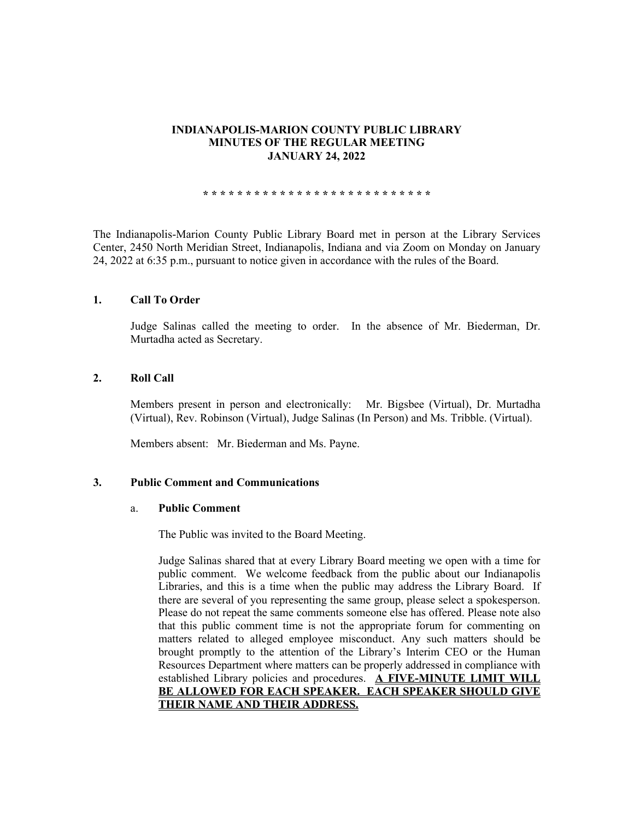## **INDIANAPOLIS-MARION COUNTY PUBLIC LIBRARY MINUTES OF THE REGULAR MEETING JANUARY 24, 2022**

**\* \* \* \* \* \* \* \* \* \* \* \* \* \* \* \* \* \* \* \* \* \* \* \* \* \* \***

The Indianapolis-Marion County Public Library Board met in person at the Library Services Center, 2450 North Meridian Street, Indianapolis, Indiana and via Zoom on Monday on January 24, 2022 at 6:35 p.m., pursuant to notice given in accordance with the rules of the Board.

### **1. Call To Order**

Judge Salinas called the meeting to order. In the absence of Mr. Biederman, Dr. Murtadha acted as Secretary.

## **2. Roll Call**

Members present in person and electronically: Mr. Bigsbee (Virtual), Dr. Murtadha (Virtual), Rev. Robinson (Virtual), Judge Salinas (In Person) and Ms. Tribble. (Virtual).

Members absent: Mr. Biederman and Ms. Payne.

#### **3. Public Comment and Communications**

#### a. **Public Comment**

The Public was invited to the Board Meeting.

Judge Salinas shared that at every Library Board meeting we open with a time for public comment. We welcome feedback from the public about our Indianapolis Libraries, and this is a time when the public may address the Library Board. If there are several of you representing the same group, please select a spokesperson. Please do not repeat the same comments someone else has offered. Please note also that this public comment time is not the appropriate forum for commenting on matters related to alleged employee misconduct. Any such matters should be brought promptly to the attention of the Library's Interim CEO or the Human Resources Department where matters can be properly addressed in compliance with established Library policies and procedures. **A FIVE-MINUTE LIMIT WILL BE ALLOWED FOR EACH SPEAKER. EACH SPEAKER SHOULD GIVE THEIR NAME AND THEIR ADDRESS.**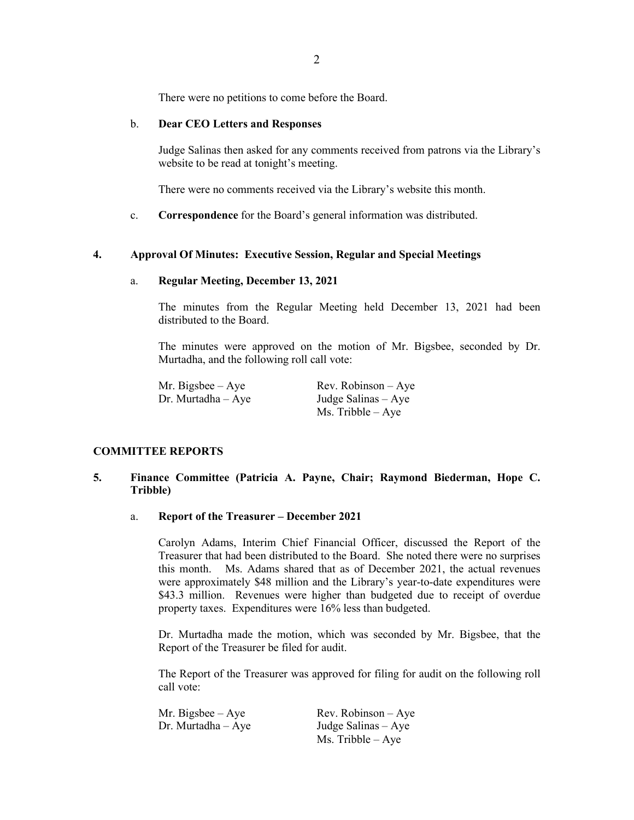There were no petitions to come before the Board.

## b. **Dear CEO Letters and Responses**

Judge Salinas then asked for any comments received from patrons via the Library's website to be read at tonight's meeting.

There were no comments received via the Library's website this month.

c. **Correspondence** for the Board's general information was distributed.

## **4. Approval Of Minutes: Executive Session, Regular and Special Meetings**

### a. **Regular Meeting, December 13, 2021**

The minutes from the Regular Meeting held December 13, 2021 had been distributed to the Board.

The minutes were approved on the motion of Mr. Bigsbee, seconded by Dr. Murtadha, and the following roll call vote:

| Mr. Bigsbee $-$ Aye   | $Rev. Robinson - Aye$ |
|-----------------------|-----------------------|
| $Dr.$ Murtadha $-Aye$ | Judge Salinas $-$ Aye |
|                       | Ms. Tribble $-$ Aye   |

## **COMMITTEE REPORTS**

## **5. Finance Committee (Patricia A. Payne, Chair; Raymond Biederman, Hope C. Tribble)**

### a. **Report of the Treasurer – December 2021**

Carolyn Adams, Interim Chief Financial Officer, discussed the Report of the Treasurer that had been distributed to the Board. She noted there were no surprises this month. Ms. Adams shared that as of December 2021, the actual revenues were approximately \$48 million and the Library's year-to-date expenditures were \$43.3 million. Revenues were higher than budgeted due to receipt of overdue property taxes. Expenditures were 16% less than budgeted.

Dr. Murtadha made the motion, which was seconded by Mr. Bigsbee, that the Report of the Treasurer be filed for audit.

The Report of the Treasurer was approved for filing for audit on the following roll call vote:

| Mr. Bigsbee – Aye  | $Rev. Robinson - Ave$ |
|--------------------|-----------------------|
| Dr. Murtadha – Aye | Judge Salinas $-$ Aye |
|                    | $Ms.$ Tribble $-Aye$  |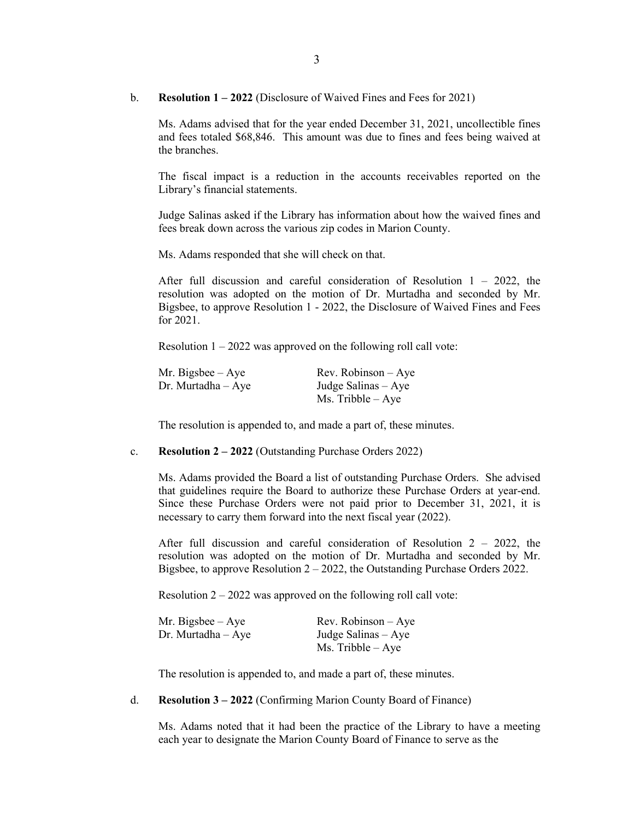b. **Resolution 1 – 2022** (Disclosure of Waived Fines and Fees for 2021)

Ms. Adams advised that for the year ended December 31, 2021, uncollectible fines and fees totaled \$68,846. This amount was due to fines and fees being waived at the branches.

The fiscal impact is a reduction in the accounts receivables reported on the Library's financial statements.

Judge Salinas asked if the Library has information about how the waived fines and fees break down across the various zip codes in Marion County.

Ms. Adams responded that she will check on that.

After full discussion and careful consideration of Resolution  $1 - 2022$ , the resolution was adopted on the motion of Dr. Murtadha and seconded by Mr. Bigsbee, to approve Resolution 1 - 2022, the Disclosure of Waived Fines and Fees for 2021.

Resolution  $1 - 2022$  was approved on the following roll call vote:

| Mr. Bigsbee – Aye  | $Rev. Robinson - Aye$ |
|--------------------|-----------------------|
| Dr. Murtadha – Aye | Judge Salinas – Aye   |
|                    | Ms. Tribble $-$ Aye   |

The resolution is appended to, and made a part of, these minutes.

c. **Resolution 2 – 2022** (Outstanding Purchase Orders 2022)

Ms. Adams provided the Board a list of outstanding Purchase Orders. She advised that guidelines require the Board to authorize these Purchase Orders at year-end. Since these Purchase Orders were not paid prior to December 31, 2021, it is necessary to carry them forward into the next fiscal year (2022).

After full discussion and careful consideration of Resolution 2 – 2022, the resolution was adopted on the motion of Dr. Murtadha and seconded by Mr. Bigsbee, to approve Resolution 2 – 2022, the Outstanding Purchase Orders 2022.

Resolution  $2 - 2022$  was approved on the following roll call vote:

| Mr. Bigsbee – Aye  | $Rev. Robinson - Aye$ |
|--------------------|-----------------------|
| Dr. Murtadha – Aye | Judge Salinas $-$ Aye |
|                    | $Ms.$ Tribble $-$ Aye |

The resolution is appended to, and made a part of, these minutes.

d. **Resolution 3 – 2022** (Confirming Marion County Board of Finance)

Ms. Adams noted that it had been the practice of the Library to have a meeting each year to designate the Marion County Board of Finance to serve as the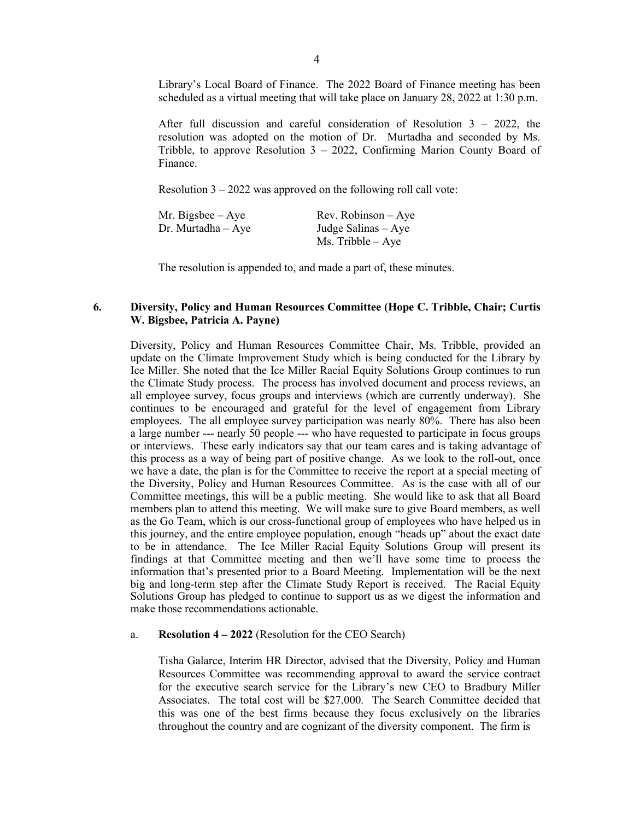Library's Local Board of Finance. The 2022 Board of Finance meeting has been scheduled as a virtual meeting that will take place on January 28, 2022 at 1:30 p.m.

After full discussion and careful consideration of Resolution 3 – 2022, the resolution was adopted on the motion of Dr. Murtadha and seconded by Ms. Tribble, to approve Resolution  $3 - 2022$ , Confirming Marion County Board of Finance.

Resolution  $3 - 2022$  was approved on the following roll call vote:

| Mr. Bigsbee $-$ Aye    | $Rev. Robinson - Aye$ |
|------------------------|-----------------------|
| $Dr.$ Murtadha $-$ Aye | Judge Salinas $-$ Aye |
|                        | Ms. Tribble $-$ Aye   |

The resolution is appended to, and made a part of, these minutes.

## **6. Diversity, Policy and Human Resources Committee (Hope C. Tribble, Chair; Curtis W. Bigsbee, Patricia A. Payne)**

Diversity, Policy and Human Resources Committee Chair, Ms. Tribble, provided an update on the Climate Improvement Study which is being conducted for the Library by Ice Miller. She noted that the Ice Miller Racial Equity Solutions Group continues to run the Climate Study process. The process has involved document and process reviews, an all employee survey, focus groups and interviews (which are currently underway). She continues to be encouraged and grateful for the level of engagement from Library employees. The all employee survey participation was nearly 80%. There has also been a large number --- nearly 50 people --- who have requested to participate in focus groups or interviews. These early indicators say that our team cares and is taking advantage of this process as a way of being part of positive change. As we look to the roll-out, once we have a date, the plan is for the Committee to receive the report at a special meeting of the Diversity, Policy and Human Resources Committee. As is the case with all of our Committee meetings, this will be a public meeting. She would like to ask that all Board members plan to attend this meeting. We will make sure to give Board members, as well as the Go Team, which is our cross-functional group of employees who have helped us in this journey, and the entire employee population, enough "heads up" about the exact date to be in attendance. The Ice Miller Racial Equity Solutions Group will present its findings at that Committee meeting and then we'll have some time to process the information that's presented prior to a Board Meeting. Implementation will be the next big and long-term step after the Climate Study Report is received. The Racial Equity Solutions Group has pledged to continue to support us as we digest the information and make those recommendations actionable.

#### a. **Resolution 4 – 2022** (Resolution for the CEO Search)

Tisha Galarce, Interim HR Director, advised that the Diversity, Policy and Human Resources Committee was recommending approval to award the service contract for the executive search service for the Library's new CEO to Bradbury Miller Associates. The total cost will be \$27,000. The Search Committee decided that this was one of the best firms because they focus exclusively on the libraries throughout the country and are cognizant of the diversity component. The firm is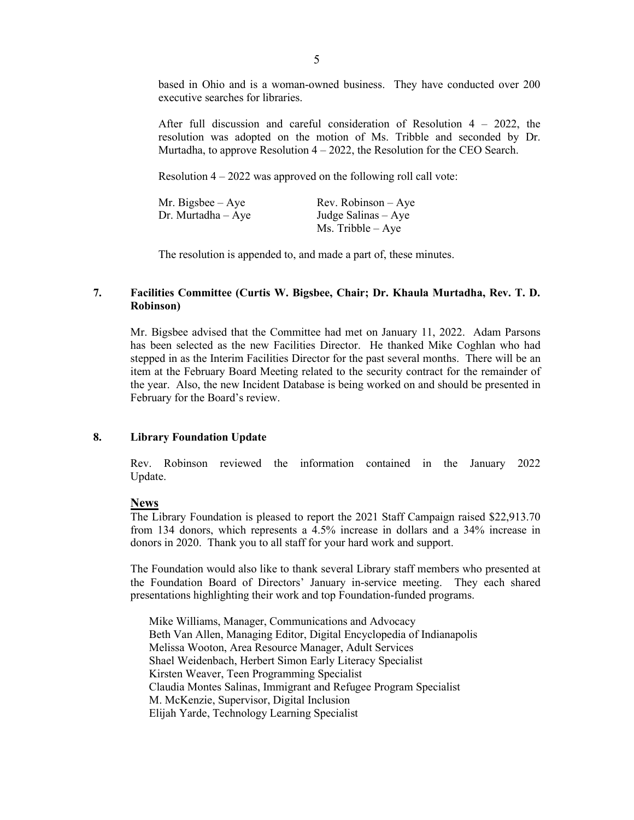based in Ohio and is a woman-owned business. They have conducted over 200 executive searches for libraries.

After full discussion and careful consideration of Resolution  $4 - 2022$ , the resolution was adopted on the motion of Ms. Tribble and seconded by Dr. Murtadha, to approve Resolution 4 – 2022, the Resolution for the CEO Search.

Resolution  $4 - 2022$  was approved on the following roll call vote:

| Mr. Bigsbee – Aye  | $Rev. Robinson - Aye$ |
|--------------------|-----------------------|
| Dr. Murtadha – Aye | Judge Salinas $-$ Aye |
|                    | $Ms.$ Tribble $-$ Aye |

The resolution is appended to, and made a part of, these minutes.

## **7. Facilities Committee (Curtis W. Bigsbee, Chair; Dr. Khaula Murtadha, Rev. T. D. Robinson)**

Mr. Bigsbee advised that the Committee had met on January 11, 2022. Adam Parsons has been selected as the new Facilities Director. He thanked Mike Coghlan who had stepped in as the Interim Facilities Director for the past several months. There will be an item at the February Board Meeting related to the security contract for the remainder of the year. Also, the new Incident Database is being worked on and should be presented in February for the Board's review.

#### **8. Library Foundation Update**

Rev. Robinson reviewed the information contained in the January 2022 Update.

## **News**

The Library Foundation is pleased to report the 2021 Staff Campaign raised \$22,913.70 from 134 donors, which represents a 4.5% increase in dollars and a 34% increase in donors in 2020. Thank you to all staff for your hard work and support.

The Foundation would also like to thank several Library staff members who presented at the Foundation Board of Directors' January in-service meeting. They each shared presentations highlighting their work and top Foundation-funded programs.

Mike Williams, Manager, Communications and Advocacy Beth Van Allen, Managing Editor, Digital Encyclopedia of Indianapolis Melissa Wooton, Area Resource Manager, Adult Services Shael Weidenbach, Herbert Simon Early Literacy Specialist Kirsten Weaver, Teen Programming Specialist Claudia Montes Salinas, Immigrant and Refugee Program Specialist M. McKenzie, Supervisor, Digital Inclusion Elijah Yarde, Technology Learning Specialist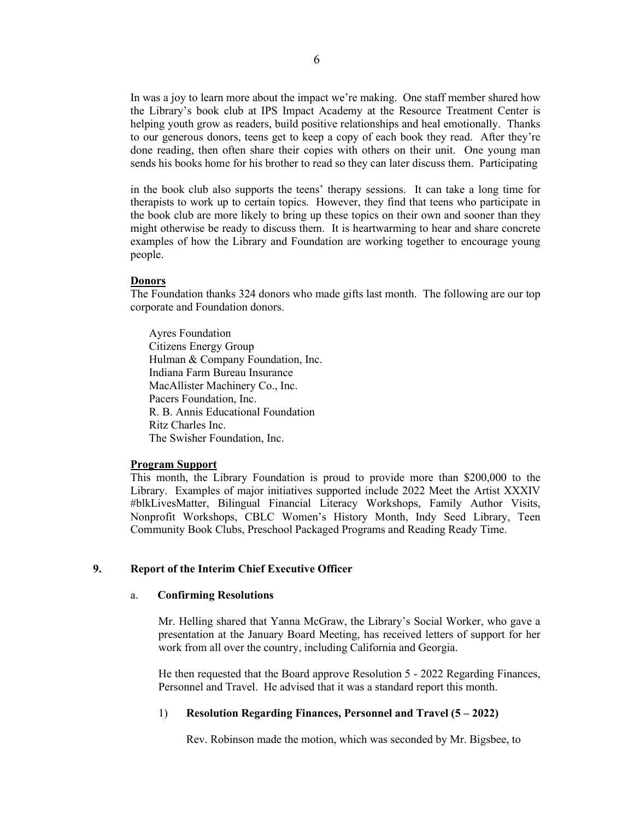In was a joy to learn more about the impact we're making. One staff member shared how the Library's book club at IPS Impact Academy at the Resource Treatment Center is helping youth grow as readers, build positive relationships and heal emotionally. Thanks to our generous donors, teens get to keep a copy of each book they read. After they're done reading, then often share their copies with others on their unit. One young man sends his books home for his brother to read so they can later discuss them. Participating

in the book club also supports the teens' therapy sessions. It can take a long time for therapists to work up to certain topics. However, they find that teens who participate in the book club are more likely to bring up these topics on their own and sooner than they might otherwise be ready to discuss them. It is heartwarming to hear and share concrete examples of how the Library and Foundation are working together to encourage young people.

### **Donors**

The Foundation thanks 324 donors who made gifts last month. The following are our top corporate and Foundation donors.

Ayres Foundation Citizens Energy Group Hulman & Company Foundation, Inc. Indiana Farm Bureau Insurance MacAllister Machinery Co., Inc. Pacers Foundation, Inc. R. B. Annis Educational Foundation Ritz Charles Inc. The Swisher Foundation, Inc.

#### **Program Support**

This month, the Library Foundation is proud to provide more than \$200,000 to the Library. Examples of major initiatives supported include 2022 Meet the Artist XXXIV #blkLivesMatter, Bilingual Financial Literacy Workshops, Family Author Visits, Nonprofit Workshops, CBLC Women's History Month, Indy Seed Library, Teen Community Book Clubs, Preschool Packaged Programs and Reading Ready Time.

## **9. Report of the Interim Chief Executive Officer**

#### a. **Confirming Resolutions**

Mr. Helling shared that Yanna McGraw, the Library's Social Worker, who gave a presentation at the January Board Meeting, has received letters of support for her work from all over the country, including California and Georgia.

He then requested that the Board approve Resolution 5 - 2022 Regarding Finances, Personnel and Travel. He advised that it was a standard report this month.

## 1) **Resolution Regarding Finances, Personnel and Travel (5 – 2022)**

Rev. Robinson made the motion, which was seconded by Mr. Bigsbee, to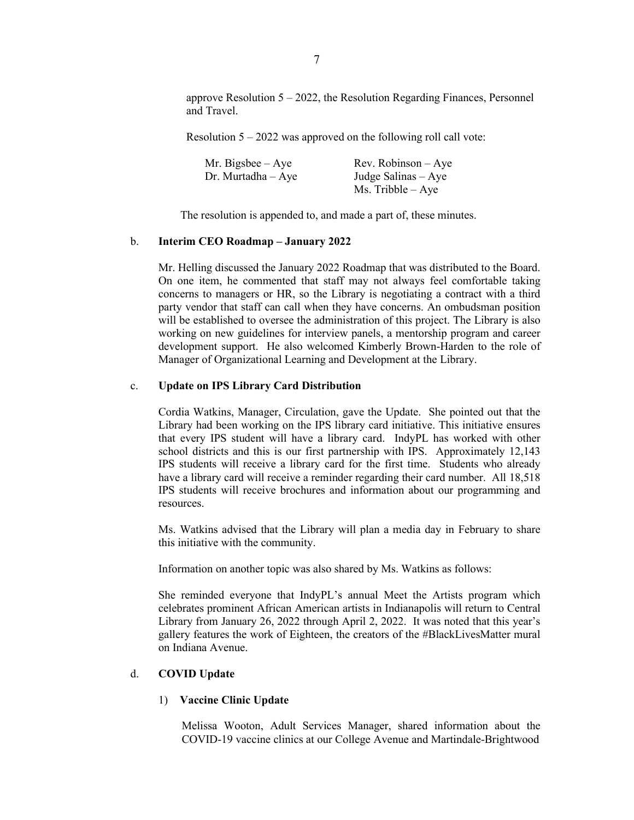approve Resolution 5 – 2022, the Resolution Regarding Finances, Personnel and Travel.

Resolution  $5 - 2022$  was approved on the following roll call vote:

| Mr. Bigsbee $-$ Aye  | $Rev. Robinson - Aye$ |
|----------------------|-----------------------|
| Dr. Murtadha $-$ Aye | Judge Salinas $-$ Aye |
|                      | $Ms.$ Tribble $-Aye$  |

The resolution is appended to, and made a part of, these minutes.

### b. **Interim CEO Roadmap – January 2022**

Mr. Helling discussed the January 2022 Roadmap that was distributed to the Board. On one item, he commented that staff may not always feel comfortable taking concerns to managers or HR, so the Library is negotiating a contract with a third party vendor that staff can call when they have concerns. An ombudsman position will be established to oversee the administration of this project. The Library is also working on new guidelines for interview panels, a mentorship program and career development support. He also welcomed Kimberly Brown-Harden to the role of Manager of Organizational Learning and Development at the Library.

#### c. **Update on IPS Library Card Distribution**

Cordia Watkins, Manager, Circulation, gave the Update. She pointed out that the Library had been working on the IPS library card initiative. This initiative ensures that every IPS student will have a library card. IndyPL has worked with other school districts and this is our first partnership with IPS. Approximately 12,143 IPS students will receive a library card for the first time. Students who already have a library card will receive a reminder regarding their card number. All 18,518 IPS students will receive brochures and information about our programming and resources.

Ms. Watkins advised that the Library will plan a media day in February to share this initiative with the community.

Information on another topic was also shared by Ms. Watkins as follows:

She reminded everyone that IndyPL's annual Meet the Artists program which celebrates prominent African American artists in Indianapolis will return to Central Library from January 26, 2022 through April 2, 2022. It was noted that this year's gallery features the work of Eighteen, the creators of the #BlackLivesMatter mural on Indiana Avenue.

### d. **COVID Update**

### 1) **Vaccine Clinic Update**

Melissa Wooton, Adult Services Manager, shared information about the COVID-19 vaccine clinics at our College Avenue and Martindale-Brightwood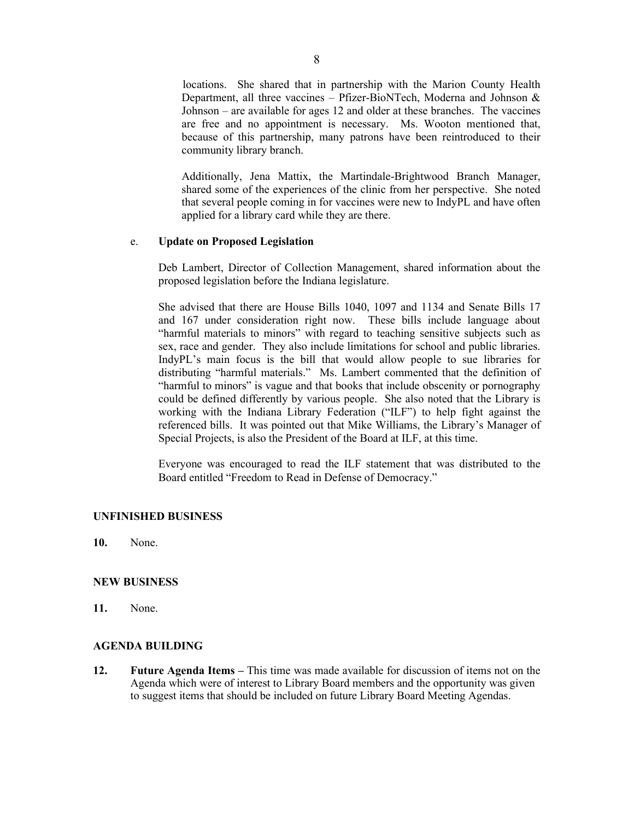locations. She shared that in partnership with the Marion County Health Department, all three vaccines – Pfizer-BioNTech, Moderna and Johnson & Johnson – are available for ages 12 and older at these branches. The vaccines are free and no appointment is necessary. Ms. Wooton mentioned that, because of this partnership, many patrons have been reintroduced to their community library branch.

Additionally, Jena Mattix, the Martindale-Brightwood Branch Manager, shared some of the experiences of the clinic from her perspective. She noted that several people coming in for vaccines were new to IndyPL and have often applied for a library card while they are there.

## e. **Update on Proposed Legislation**

Deb Lambert, Director of Collection Management, shared information about the proposed legislation before the Indiana legislature.

She advised that there are House Bills 1040, 1097 and 1134 and Senate Bills 17 and 167 under consideration right now. These bills include language about "harmful materials to minors" with regard to teaching sensitive subjects such as sex, race and gender. They also include limitations for school and public libraries. IndyPL's main focus is the bill that would allow people to sue libraries for distributing "harmful materials." Ms. Lambert commented that the definition of "harmful to minors" is vague and that books that include obscenity or pornography could be defined differently by various people. She also noted that the Library is working with the Indiana Library Federation ("ILF") to help fight against the referenced bills. It was pointed out that Mike Williams, the Library's Manager of Special Projects, is also the President of the Board at ILF, at this time.

Everyone was encouraged to read the ILF statement that was distributed to the Board entitled "Freedom to Read in Defense of Democracy."

### **UNFINISHED BUSINESS**

**10.** None.

### **NEW BUSINESS**

**11.** None.

### **AGENDA BUILDING**

**12. Future Agenda Items –** This time was made available for discussion of items not on the Agenda which were of interest to Library Board members and the opportunity was given to suggest items that should be included on future Library Board Meeting Agendas.